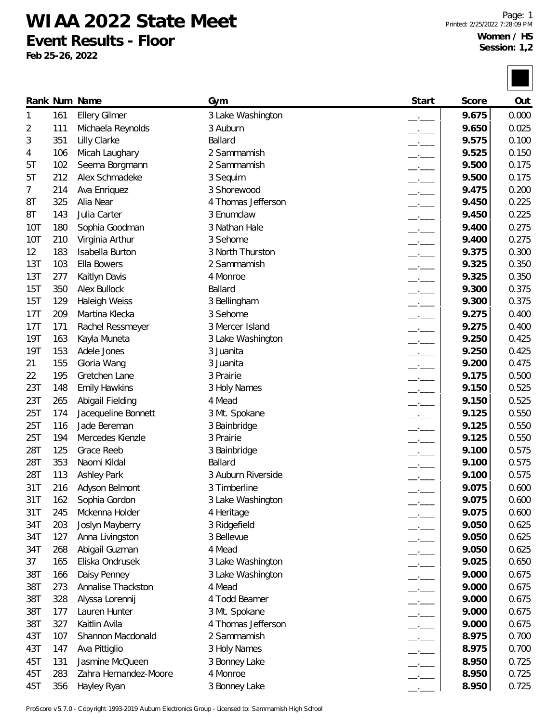## **WIAA 2022 State Meet**

**Event Results - Floor**

**Feb 25-26, 2022**

|            |     | Rank Num Name         | Gym                | Start                    | Score | Out   |
|------------|-----|-----------------------|--------------------|--------------------------|-------|-------|
| 1          | 161 | <b>Ellery Gilmer</b>  | 3 Lake Washington  | $ -$                     | 9.675 | 0.000 |
| 2          | 111 | Michaela Reynolds     | 3 Auburn           | $ -$                     | 9.650 | 0.025 |
| 3          | 351 | Lilly Clarke          | Ballard            | $\overline{\phantom{a}}$ | 9.575 | 0.100 |
| 4          | 106 | Micah Laughary        | 2 Sammamish        |                          | 9.525 | 0.150 |
| 5Τ         | 102 | Seema Borgmann        | 2 Sammamish        |                          | 9.500 | 0.175 |
| 5T         | 212 | Alex Schmadeke        | 3 Sequim           | $\overline{\phantom{a}}$ | 9.500 | 0.175 |
| 7          | 214 | Ava Enriquez          | 3 Shorewood        | $\overline{\phantom{a}}$ | 9.475 | 0.200 |
| 8T         | 325 | Alia Near             | 4 Thomas Jefferson | $\overline{\phantom{a}}$ | 9.450 | 0.225 |
| 8T         | 143 | Julia Carter          | 3 Enumclaw         | $\overline{\phantom{a}}$ | 9.450 | 0.225 |
| <b>10T</b> | 180 | Sophia Goodman        | 3 Nathan Hale      | $\overline{\phantom{a}}$ | 9.400 | 0.275 |
| <b>10T</b> | 210 | Virginia Arthur       | 3 Sehome           | $-$                      | 9.400 | 0.275 |
| 12         | 183 | Isabella Burton       | 3 North Thurston   |                          | 9.375 | 0.300 |
| 13T        | 103 | Ella Bowers           | 2 Sammamish        | $\overline{\phantom{a}}$ | 9.325 | 0.350 |
| 13T        | 277 | Kaitlyn Davis         | 4 Monroe           | $\overline{\phantom{a}}$ | 9.325 | 0.350 |
| 15T        | 350 | Alex Bullock          | Ballard            | $\overline{\phantom{a}}$ | 9.300 | 0.375 |
| 15T        | 129 | Haleigh Weiss         | 3 Bellingham       | $\overline{\phantom{a}}$ | 9.300 | 0.375 |
| 17T        | 209 | Martina Klecka        | 3 Sehome           | $-$                      | 9.275 | 0.400 |
| 17T        | 171 | Rachel Ressmeyer      | 3 Mercer Island    | $\overline{\phantom{a}}$ | 9.275 | 0.400 |
| 19T        | 163 | Kayla Muneta          | 3 Lake Washington  | $\overline{\phantom{a}}$ | 9.250 | 0.425 |
| 19T        | 153 | Adele Jones           | 3 Juanita          | $\overline{\phantom{a}}$ | 9.250 | 0.425 |
| 21         | 155 | Gloria Wang           | 3 Juanita          | $-$                      | 9.200 | 0.475 |
| 22         | 195 | Gretchen Lane         | 3 Prairie          | $\overline{\phantom{a}}$ | 9.175 | 0.500 |
| 23T        | 148 | <b>Emily Hawkins</b>  | 3 Holy Names       | $\overline{\phantom{a}}$ | 9.150 | 0.525 |
| 23T        | 265 | Abigail Fielding      | 4 Mead             | $ -$                     | 9.150 | 0.525 |
| 25T        | 174 | Jacequeline Bonnett   | 3 Mt. Spokane      | $\overline{\phantom{a}}$ | 9.125 | 0.550 |
| 25T        | 116 | Jade Bereman          | 3 Bainbridge       | $\overline{\phantom{a}}$ | 9.125 | 0.550 |
| 25T        | 194 | Mercedes Kienzle      | 3 Prairie          | $\overline{\phantom{a}}$ | 9.125 | 0.550 |
| 28T        | 125 | Grace Reeb            | 3 Bainbridge       | $-$                      | 9.100 | 0.575 |
| 28T        | 353 | Naomi Kildal          | Ballard            | $-$                      | 9.100 | 0.575 |
| 28T        | 113 | <b>Ashley Park</b>    | 3 Auburn Riverside | $ -$                     | 9.100 | 0.575 |
| 31T        | 216 | Adyson Belmont        | 3 Timberline       |                          | 9.075 | 0.600 |
| 31T        | 162 | Sophia Gordon         | 3 Lake Washington  |                          | 9.075 | 0.600 |
| 31T        | 245 | Mckenna Holder        | 4 Heritage         | $-$                      | 9.075 | 0.600 |
| 34T        | 203 | Joslyn Mayberry       | 3 Ridgefield       | $\overline{\phantom{a}}$ | 9.050 | 0.625 |
| 34T        | 127 | Anna Livingston       | 3 Bellevue         | $-$                      | 9.050 | 0.625 |
| 34T        | 268 | Abigail Guzman        | 4 Mead             | $ -$                     | 9.050 | 0.625 |
| 37         | 165 | Eliska Ondrusek       | 3 Lake Washington  |                          | 9.025 | 0.650 |
| 38T        | 166 | Daisy Penney          | 3 Lake Washington  |                          | 9.000 | 0.675 |
| 38T        | 273 | Annalise Thackston    | 4 Mead             | $ -$                     | 9.000 | 0.675 |
| 38T        | 328 | Alyssa Lorennij       | 4 Todd Beamer      | $\overline{\phantom{a}}$ | 9.000 | 0.675 |
| 38T        | 177 | Lauren Hunter         | 3 Mt. Spokane      | $\overline{\phantom{a}}$ | 9.000 | 0.675 |
| 38T        | 327 | Kaitlin Avila         | 4 Thomas Jefferson | $-$                      | 9.000 | 0.675 |
| 43T        | 107 | Shannon Macdonald     | 2 Sammamish        | $ -$                     | 8.975 | 0.700 |
| 43T        | 147 | Ava Pittiglio         | 3 Holy Names       |                          | 8.975 | 0.700 |
| 45T        | 131 | Jasmine McQueen       | 3 Bonney Lake      |                          | 8.950 | 0.725 |
| 45T        | 283 | Zahra Hernandez-Moore | 4 Monroe           |                          | 8.950 | 0.725 |
| 45T        | 356 | Hayley Ryan           | 3 Bonney Lake      |                          | 8.950 | 0.725 |

ProScore v5.7.0 - Copyright 1993-2019 Auburn Electronics Group - Licensed to: Sammamish High School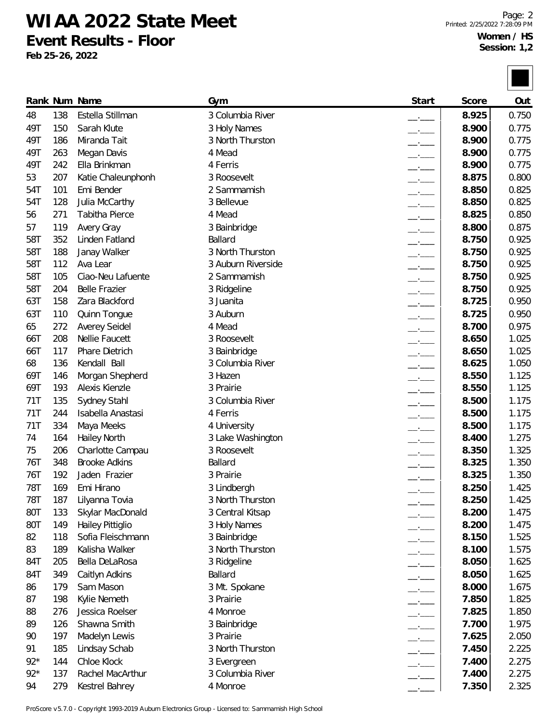**WIAA 2022 State Meet**

**Event Results - Floor**

**Feb 25-26, 2022**

<u>l mar</u>

|       |     | Rank Num Name         | Gym                           | Start                    | Score | Out   |
|-------|-----|-----------------------|-------------------------------|--------------------------|-------|-------|
| 48    | 138 | Estella Stillman      | 3 Columbia River              |                          | 8.925 | 0.750 |
| 49T   | 150 | Sarah Klute           | 3 Holy Names                  | $ -$                     | 8.900 | 0.775 |
| 49T   | 186 | Miranda Tait          | 3 North Thurston              | $\overline{\phantom{a}}$ | 8.900 | 0.775 |
| 49T   | 263 | Megan Davis           | 4 Mead                        | $ -$                     | 8.900 | 0.775 |
| 49T   | 242 | Ella Brinkman         | 4 Ferris                      | $\overline{\phantom{a}}$ | 8.900 | 0.775 |
| 53    | 207 | Katie Chaleunphonh    | 3 Roosevelt                   | $\overline{\phantom{a}}$ | 8.875 | 0.800 |
| 54T   | 101 | Emi Bender            | 2 Sammamish                   | $\overline{\phantom{a}}$ | 8.850 | 0.825 |
| 54T   | 128 | Julia McCarthy        | 3 Bellevue                    | $ -$                     | 8.850 | 0.825 |
| 56    | 271 | Tabitha Pierce        | 4 Mead                        | $\overline{\phantom{a}}$ | 8.825 | 0.850 |
| 57    | 119 | Avery Gray            | 3 Bainbridge                  | $\overline{\phantom{a}}$ | 8.800 | 0.875 |
| 58T   | 352 | Linden Fatland        | Ballard                       | $ -$                     | 8.750 | 0.925 |
| 58T   | 188 | Janay Walker          | 3 North Thurston              | $ -$                     | 8.750 | 0.925 |
| 58T   | 112 | Ava Lear              | 3 Auburn Riverside            | $ -$                     | 8.750 | 0.925 |
| 58T   | 105 | Ciao-Neu Lafuente     | 2 Sammamish                   | $\overline{\phantom{a}}$ | 8.750 | 0.925 |
| 58T   | 204 | <b>Belle Frazier</b>  | 3 Ridgeline                   | $\overline{\phantom{a}}$ | 8.750 | 0.925 |
| 63T   | 158 | Zara Blackford        | 3 Juanita                     | $ -$                     | 8.725 | 0.950 |
| 63T   | 110 | Quinn Tongue          | 3 Auburn                      | $\overline{\phantom{a}}$ | 8.725 | 0.950 |
| 65    | 272 | <b>Averey Seidel</b>  | 4 Mead                        | $\overline{\phantom{a}}$ | 8.700 | 0.975 |
| 66T   | 208 | <b>Nellie Faucett</b> | 3 Roosevelt                   | $ -$                     | 8.650 | 1.025 |
| 66T   | 117 | Phare Dietrich        | 3 Bainbridge                  | $\overline{\phantom{a}}$ | 8.650 | 1.025 |
| 68    | 136 | Kendall Ball          | 3 Columbia River              | $\overline{\phantom{a}}$ | 8.625 | 1.050 |
| 69T   | 146 | Morgan Shepherd       | 3 Hazen                       | $\overline{\phantom{a}}$ | 8.550 | 1.125 |
| 69T   | 193 | Alexis Kienzle        | 3 Prairie                     | $ -$                     | 8.550 | 1.125 |
| 71T   | 135 | Sydney Stahl          | 3 Columbia River              | $\overline{\phantom{a}}$ | 8.500 | 1.175 |
| 71T   | 244 | Isabella Anastasi     | 4 Ferris                      | $\overline{\phantom{a}}$ | 8.500 | 1.175 |
| 71T   | 334 | Maya Meeks            | 4 University                  |                          | 8.500 | 1.175 |
| 74    | 164 | <b>Hailey North</b>   | 3 Lake Washington             | $ -$                     | 8.400 | 1.275 |
| 75    | 206 | Charlotte Campau      | 3 Roosevelt                   | $ -$                     | 8.350 | 1.325 |
| 76T   | 348 | <b>Brooke Adkins</b>  | Ballard                       |                          | 8.325 | 1.350 |
| 76T   | 192 | Jaden Frazier         | 3 Prairie                     |                          | 8.325 | 1.350 |
| 78T   | 169 | Emi Hirano            | 3 Lindbergh                   |                          | 8.250 | 1.425 |
| 78T   | 187 | Lilyanna Tovia        | 3 North Thurston              | —'—                      | 8.250 | 1.425 |
| 80T   | 133 | Skylar MacDonald      | 3 Central Kitsap              | $ -$                     | 8.200 | 1.475 |
| 80T   | 149 | Hailey Pittiglio      | 3 Holy Names                  | $\overline{\phantom{a}}$ | 8.200 | 1.475 |
| 82    | 118 | Sofia Fleischmann     | 3 Bainbridge                  | $ -$                     | 8.150 | 1.525 |
| 83    | 189 | Kalisha Walker        | 3 North Thurston              | $-$                      | 8.100 | 1.575 |
| 84T   | 205 | Bella DeLaRosa        | 3 Ridgeline                   | $-$                      | 8.050 | 1.625 |
| 84T   | 349 | Caitlyn Adkins        | Ballard                       | $\overline{\phantom{a}}$ | 8.050 | 1.625 |
| 86    | 179 | Sam Mason             | 3 Mt. Spokane                 | $\overline{\phantom{a}}$ | 8.000 | 1.675 |
| 87    | 198 | Kylie Nemeth          | 3 Prairie                     | $ -$                     | 7.850 | 1.825 |
| 88    | 276 | Jessica Roelser       | 4 Monroe                      | $\overline{\phantom{a}}$ | 7.825 | 1.850 |
| 89    | 126 | Shawna Smith          | 3 Bainbridge                  | $ -$                     | 7.700 | 1.975 |
|       |     |                       |                               | $\overline{\phantom{a}}$ |       |       |
| 90    | 197 | Madelyn Lewis         | 3 Prairie<br>3 North Thurston | $\overline{\phantom{a}}$ | 7.625 | 2.050 |
| 91    | 185 | Lindsay Schab         |                               | $-$                      | 7.450 | 2.225 |
| $92*$ | 144 | Chloe Klock           | 3 Evergreen                   | $ -$                     | 7.400 | 2.275 |
| $92*$ | 137 | Rachel MacArthur      | 3 Columbia River              | $ -$                     | 7.400 | 2.275 |
| 94    | 279 | Kestrel Bahrey        | 4 Monroe                      |                          | 7.350 | 2.325 |